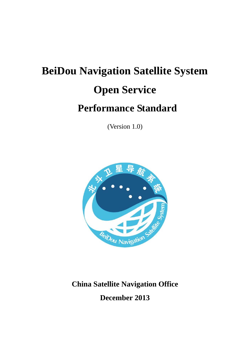# **BeiDou Navigation Satellite System Open Service Performance Standard**

(Version 1.0)



# **China Satellite Navigation Office**

**December 2013**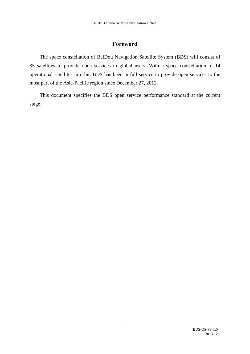# **Foreword**

The space constellation of BeiDou Navigation Satellite System (BDS) will consist of 35 satellites to provide open services to global users. With a space constellation of 14 operational satellites in orbit, BDS has been in full service to provide open services to the most part of the Asia-Pacific region since December 27, 2012.

This document specifies the BDS open service performance standard at the current stage.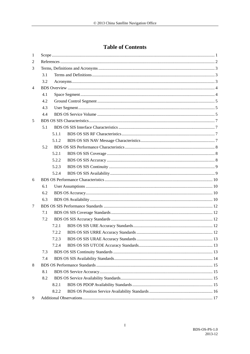# **Table of Contents**

| 1              |     |       |  |  |
|----------------|-----|-------|--|--|
| 2              |     |       |  |  |
| 3              |     |       |  |  |
|                | 3.1 |       |  |  |
|                | 3.2 |       |  |  |
| $\overline{4}$ |     |       |  |  |
|                | 4.1 |       |  |  |
|                | 4.2 |       |  |  |
|                | 4.3 |       |  |  |
|                | 4.4 |       |  |  |
| 5              |     |       |  |  |
|                | 5.1 |       |  |  |
|                |     | 5.1.1 |  |  |
|                |     | 5.1.2 |  |  |
|                | 5.2 |       |  |  |
|                |     | 5.2.1 |  |  |
|                |     | 5.2.2 |  |  |
|                |     | 5.2.3 |  |  |
|                |     | 5.2.4 |  |  |
| 6              |     |       |  |  |
|                | 6.1 |       |  |  |
|                | 6.2 |       |  |  |
|                | 6.3 |       |  |  |
| 7              |     |       |  |  |
|                | 7.1 |       |  |  |
|                | 7.2 |       |  |  |
|                |     | 7.2.1 |  |  |
|                |     | 7.2.2 |  |  |
|                |     | 7.2.3 |  |  |
|                |     | 7.2.4 |  |  |
|                | 7.3 |       |  |  |
|                | 7.4 |       |  |  |
| 8              |     |       |  |  |
|                | 8.1 |       |  |  |
|                | 8.2 |       |  |  |
|                |     | 8.2.1 |  |  |
|                |     | 8.2.2 |  |  |
| 9              |     |       |  |  |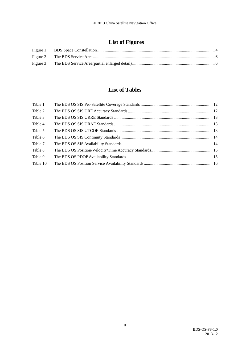# **List of Figures**

# **List of Tables**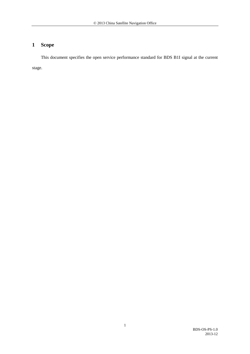# <span id="page-4-0"></span>**1 Scope**

This document specifies the open service performance standard for BDS B1I signal at the current stage.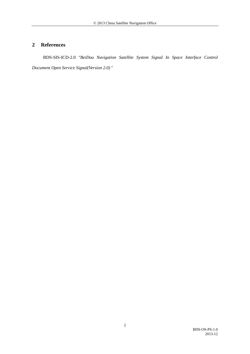# <span id="page-5-0"></span>**2 References**

BDS-SIS-ICD-2.0 *"BeiDou Navigation Satellite System Signal In Space Interface Control Document Open Service Signal(Version 2.0)* "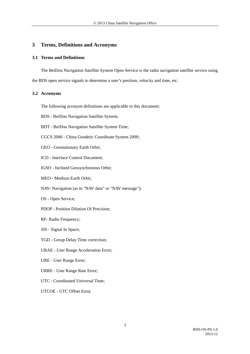### <span id="page-6-0"></span>**3 Terms, Definitions and Acronyms**

#### <span id="page-6-1"></span>**3.1 Terms and Definitions**

The BeiDou Navigation Satellite System Open Service is the radio navigation satellite service using the BDS open service signals to determine a user's position, velocity and time, etc.

#### <span id="page-6-2"></span>**3.2 Acronyms**

- The following acronym definitions are applicable to this document:
- BDS BeiDou Navigation Satellite System;
- BDT BeiDou Navigation Satellite System Time;
- CGCS 2000 China Geodetic Coordinate System 2000;
- GEO Geostationary Earth Orbit;
- ICD Interface Control Document;
- IGSO Inclined Geosynchronous Orbit;
- MEO Medium Earth Orbit;
- NAV- Navigation (as in "NAV data" or "NAV message");
- OS Open Service;
- PDOP Position Dilution Of Precision;
- RF- Radio Frequency;
- SIS Signal In Space;
- TGD Group Delay Time correction;
- URAE User Range Acceleration Error;
- URE User Range Error;
- URRE User Range Rate Error;
- UTC Coordinated Universal Time;
- UTCOE UTC Offset Error.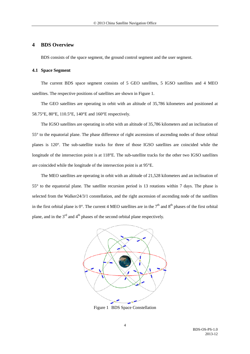#### <span id="page-7-0"></span>**4 BDS Overview**

BDS consists of the space segment, the ground control segment and the user segment.

#### <span id="page-7-1"></span>**4.1 Space Segment**

The current BDS space segment consists of 5 GEO satellites, 5 IGSO satellites and 4 MEO satellites. The respective positions of satellites are shown in [Figure 1.](#page-7-2)

The GEO satellites are operating in orbit with an altitude of 35,786 kilometers and positioned at 58.75°E, 80°E, 110.5°E, 140°E and 160°E respectively.

The IGSO satellites are operating in orbit with an altitude of 35,786 kilometers and an inclination of 55° to the equatorial plane. The phase difference of right ascensions of ascending nodes of those orbital planes is 120°. The sub-satellite tracks for three of those IGSO satellites are coincided while the longitude of the intersection point is at 118°E. The sub-satellite tracks for the other two IGSO satellites are coincided while the longitude of the intersection point is at 95°E.

The MEO satellites are operating in orbit with an altitude of 21,528 kilometers and an inclination of 55° to the equatorial plane. The satellite recursion period is 13 rotations within 7 days. The phase is selected from the Walker24/3/1 constellation, and the right ascension of ascending node of the satellites in the first orbital plane is  $0^\circ$ . The current 4 MEO satellites are in the  $7<sup>th</sup>$  and  $8<sup>th</sup>$  phases of the first orbital plane, and in the  $3<sup>rd</sup>$  and  $4<sup>th</sup>$  phases of the second orbital plane respectively.



<span id="page-7-2"></span>Figure 1 BDS Space Constellation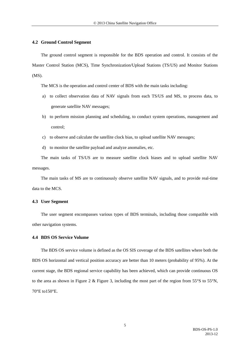#### <span id="page-8-0"></span>**4.2 Ground Control Segment**

The ground control segment is responsible for the BDS operation and control. It consists of the Master Control Station (MCS), Time Synchronization/Upload Stations (TS/US) and Monitor Stations (MS).

The MCS is the operation and control center of BDS with the main tasks including:

- a) to collect observation data of NAV signals from each TS/US and MS, to process data, to generate satellite NAV messages;
- b) to perform mission planning and scheduling, to conduct system operations, management and control;
- c) to observe and calculate the satellite clock bias, to upload satellite NAV messages;
- d) to monitor the satellite payload and analyze anomalies, etc.

The main tasks of TS/US are to measure satellite clock biases and to upload satellite NAV messages.

The main tasks of MS are to continuously observe satellite NAV signals, and to provide real-time data to the MCS.

#### <span id="page-8-1"></span>**4.3 User Segment**

The user segment encompasses various types of BDS terminals, including those compatible with other navigation systems.

#### <span id="page-8-2"></span>**4.4 BDS OS Service Volume**

The BDS OS service volume is defined as the OS SIS coverage of the BDS satellites where both the BDS OS horizontal and vertical position accuracy are better than 10 meters (probability of 95%). At the current stage, the BDS regional service capability has been achieved, which can provide continuous OS to the area as shown in [Figure 2](#page-9-0) & [Figure 3,](#page-9-1) including the most part of the region from 55°S to 55°N, 70°E to150°E.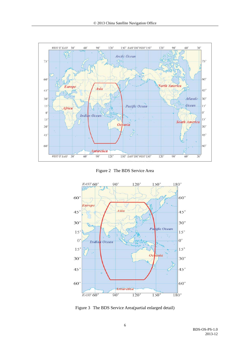

Figure 2 The BDS Service Area

<span id="page-9-0"></span>

<span id="page-9-1"></span>Figure 3 The BDS Service Area[\(partial enlarged detail\)](http://dict.cn/partial%20enlarged%20detail)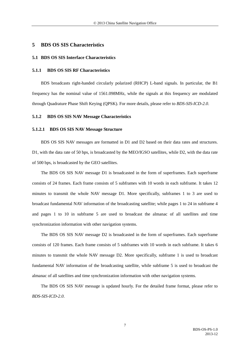#### <span id="page-10-0"></span>**5 BDS OS SIS Characteristics**

#### <span id="page-10-1"></span>**5.1 BDS OS SIS Interface Characteristics**

#### <span id="page-10-2"></span>**5.1.1 BDS OS SIS RF Characteristics**

BDS broadcasts right-handed circularly polarized (RHCP) L-band signals. In particular, the B1 frequency has the nominal value of 1561.098MHz, while the signals at this frequency are modulated through Quadrature Phase Shift Keying (QPSK). For more details, please refer to *BDS-SIS-ICD-2.0*.

#### <span id="page-10-3"></span>**5.1.2 BDS OS SIS NAV Message Characteristics**

#### **5.1.2.1 BDS OS SIS NAV Message Structure**

BDS OS SIS NAV messages are formatted in D1 and D2 based on their data rates and structures. D1, with the data rate of 50 bps, is broadcasted by the MEO/IGSO satellites, while D2, with the data rate of 500 bps, is broadcasted by the GEO satellites.

The BDS OS SIS NAV message D1 is broadcasted in the form of superframes. Each superframe consists of 24 frames. Each frame consists of 5 subframes with 10 words in each subframe. It takes 12 minutes to transmit the whole NAV message D1. More specifically, subframes 1 to 3 are used to broadcast fundamental NAV information of the broadcasting satellite; while pages 1 to 24 in subframe 4 and pages 1 to 10 in subframe 5 are used to broadcast the almanac of all satellites and time synchronization information with other navigation systems.

The BDS OS SIS NAV message D2 is broadcasted in the form of superframes. Each superframe consists of 120 frames. Each frame consists of 5 subframes with 10 words in each subframe. It takes 6 minutes to transmit the whole NAV message D2. More specifically, subframe 1 is used to broadcast fundamental NAV information of the broadcasting satellite, while subframe 5 is used to broadcast the almanac of all satellites and time synchronization information with other navigation systems.

The BDS OS SIS NAV message is updated hourly. For the detailed frame format, please refer to *BDS-SIS-ICD-2.0*.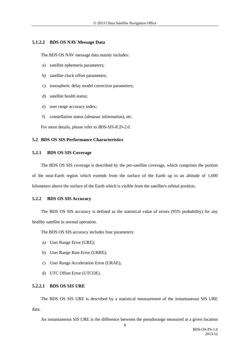#### **5.1.2.2 BDS OS NAV Message Data**

The BDS OS NAV message data mainly includes:

- a) satellite ephemeris parameters;
- b) satellite clock offset parameters;
- c) ionospheric delay model correction parameters;
- d) satellite health status;
- e) user range accuracy index;
- f) constellation status (almanac information), etc.

For more details, please refer to *BDS-SIS-ICD-2.0*.

#### <span id="page-11-0"></span>**5.2 BDS OS SIS Performance Characteristics**

#### <span id="page-11-1"></span>**5.2.1 BDS OS SIS Coverage**

The BDS OS SIS coverage is described by the per-satellite coverage, which comprises the portion of the near-Earth region which extends from the surface of the Earth up to an altitude of 1,000 kilometers above the surface of the Earth which is visible from the satellite's orbital position.

#### <span id="page-11-2"></span>**5.2.2 BDS OS SIS Accuracy**

The BDS OS SIS accuracy is defined as the statistical value of errors (95% probability) for any healthy satellite in normal operation.

The BDS OS SIS accuracy includes four parameters:

- a) User Range Error (URE);
- b) User Range Rate Error (URRE);
- c) User Range Acceleration Error (URAE);
- d) UTC Offset Error (UTCOE).

#### **5.2.2.1 BDS OS SIS URE**

The BDS OS SIS URE is described by a statistical measurement of the instantaneous SIS URE data.

An instantaneous SIS URE is the difference between the pseudorange measured at a given location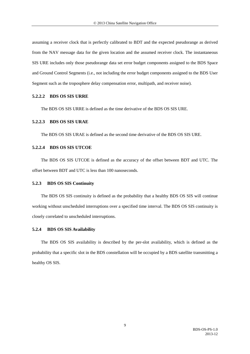assuming a receiver clock that is perfectly calibrated to BDT and the expected pseudorange as derived from the NAV message data for the given location and the assumed receiver clock. The instantaneous SIS URE includes only those pseudorange data set error budget components assigned to the BDS Space and Ground Control Segments (i.e., not including the error budget components assigned to the BDS User Segment such as the troposphere delay compensation error, multipath, and receiver noise).

#### **5.2.2.2 BDS OS SIS URRE**

The BDS OS SIS URRE is defined as the time derivative of the BDS OS SIS URE.

#### **5.2.2.3 BDS OS SIS URAE**

The BDS OS SIS URAE is defined as the second time derivative of the BDS OS SIS URE.

#### **5.2.2.4 BDS OS SIS UTCOE**

The BDS OS SIS UTCOE is defined as the accuracy of the offset between BDT and UTC. The offset between BDT and UTC is less than 100 nanoseconds.

#### <span id="page-12-0"></span>**5.2.3 BDS OS SIS Continuity**

The BDS OS SIS continuity is defined as the probability that a healthy BDS OS SIS will continue working without unscheduled interruptions over a specified time interval. The BDS OS SIS continuity is closely correlated to unscheduled interruptions.

#### <span id="page-12-1"></span>**5.2.4 BDS OS SIS Availability**

The BDS OS SIS availability is described by the per-slot availability, which is defined as the probability that a specific slot in the BDS constellation will be occupied by a BDS satellite transmitting a healthy OS SIS.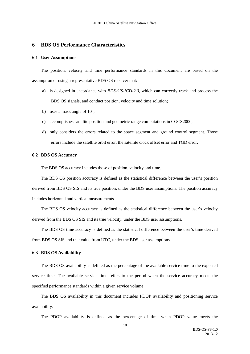#### <span id="page-13-0"></span>**6 BDS OS Performance Characteristics**

#### <span id="page-13-1"></span>**6.1 User Assumptions**

The position, velocity and time performance standards in this document are based on the assumption of using a representative BDS OS receiver that:

- a) is designed in accordance with *BDS-SIS-ICD-2.0*, which can correctly track and process the BDS OS signals, and conduct position, velocity and time solution;
- b) uses a mask angle of 10°;
- c) accomplishes satellite position and geometric range computations in CGCS2000;
- d) only considers the errors related to the space segment and ground control segment. Those errors include the satellite orbit error, the satellite clock offset error and TGD error.

#### <span id="page-13-2"></span>**6.2 BDS OS Accuracy**

The BDS OS accuracy includes those of position, velocity and time.

The BDS OS position accuracy is defined as the statistical difference between the user's position derived from BDS OS SIS and its true position, under the BDS user assumptions. The position accuracy includes horizontal and vertical measurements.

The BDS OS velocity accuracy is defined as the statistical difference between the user's velocity derived from the BDS OS SIS and its true velocity, under the BDS user assumptions.

The BDS OS time accuracy is defined as the statistical difference between the user's time derived from BDS OS SIS and that value from UTC, under the BDS user assumptions.

#### <span id="page-13-3"></span>**6.3 BDS OS Availability**

The BDS OS availability is defined as the percentage of the available service time to the expected service time. The available service time refers to the period when the service accuracy meets the specified performance standards within a given service volume.

The BDS OS availability in this document includes PDOP availability and positioning service availability.

The PDOP availability is defined as the percentage of time when PDOP value meets the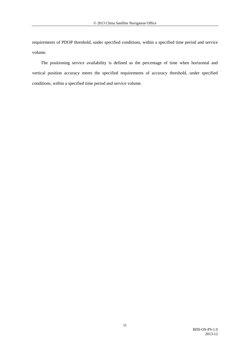requirements of PDOP threshold, under specified conditions, within a specified time period and service volume.

The positioning service availability is defined as the percentage of time when horizontal and vertical position accuracy meets the specified requirements of accuracy threshold, under specified conditions, within a specified time period and service volume.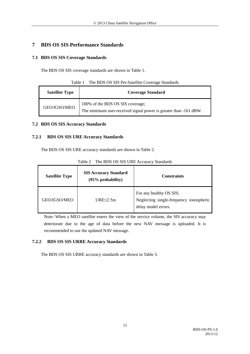# <span id="page-15-0"></span>**7 BDS OS SIS Performance Standards**

## <span id="page-15-1"></span>**7.1 BDS OS SIS Coverage Standards**

<span id="page-15-5"></span>The BDS OS SIS coverage standards are shown in [Table 1.](#page-15-5)

| Table 1 | The BDS OS SIS Per-Satellite Coverage Standards |  |  |
|---------|-------------------------------------------------|--|--|
|         |                                                 |  |  |

| <b>Satellite Type</b> | <b>Coverage Standard</b>                                                                             |  |
|-----------------------|------------------------------------------------------------------------------------------------------|--|
| GEO/IGSO/MEO          | 100% of the BDS OS SIS coverage;<br>The minimum user-received signal power is greater than -161 dBW. |  |

## <span id="page-15-2"></span>**7.2 BDS OS SIS Accuracy Standards**

## <span id="page-15-3"></span>**7.2.1 BDS OS SIS URE Accuracy Standards**

The BDS OS SIS URE accuracy standards are shown in [Table 2.](#page-15-6)

<span id="page-15-6"></span>

| <b>Satellite Type</b> | <b>SIS Accuracy Standard</b><br>$(95%$ probability) | <b>Constraints</b>                                                                        |
|-----------------------|-----------------------------------------------------|-------------------------------------------------------------------------------------------|
| GEO/IGSO/MEO          | $URE \leq 2.5m$                                     | For any healthy OS SIS;<br>Neglecting single-frequency ionospheric<br>delay model errors. |

Table 2 The BDS OS SIS URE Accuracy Standards

Note: When a MEO satellite enters the view of the service volume, the SIS accuracy may deteriorate due to the age of data before the new NAV message is uploaded. It is recommended to use the updated NAV message.

# <span id="page-15-4"></span>**7.2.2 BDS OS SIS URRE Accuracy Standards**

<span id="page-15-7"></span>The BDS OS SIS URRE accuracy standards are shown in [Table 3.](#page-15-7)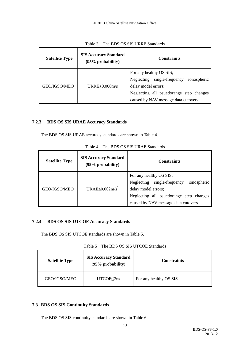<span id="page-16-3"></span>

| <b>Satellite Type</b> | <b>SIS Accuracy Standard</b><br>$(95%$ probability) | <b>Constraints</b>                                                                                                                                                              |
|-----------------------|-----------------------------------------------------|---------------------------------------------------------------------------------------------------------------------------------------------------------------------------------|
| GEO/IGSO/MEO          | $URRE \leq 0.006$ m/s                               | For any healthy OS SIS;<br>Neglecting single-frequency<br>ionospheric<br>delay model errors;<br>Neglecting all psuedorange step changes<br>caused by NAV message data cutovers. |

Table 3 The BDS OS SIS URRE Standards

# <span id="page-16-0"></span>**7.2.3 BDS OS SIS URAE Accuracy Standards**

<span id="page-16-4"></span>The BDS OS SIS URAE accuracy standards are shown in [Table 4.](#page-16-4)

| <b>Satellite Type</b> | <b>SIS Accuracy Standard</b><br>$(95%$ probability) | <b>Constraints</b>                                                                              |
|-----------------------|-----------------------------------------------------|-------------------------------------------------------------------------------------------------|
| GEO/IGSO/MEO          | URAE $\leq$ 0.002m/s <sup>2</sup>                   | For any healthy OS SIS;<br>single-frequency<br>ionospheric<br>Neglecting<br>delay model errors; |
|                       |                                                     | Neglecting all psuedorange step changes<br>caused by NAV message data cutovers.                 |

| Table 4 The BDS OS SIS URAE Standards |  |
|---------------------------------------|--|
|                                       |  |

# <span id="page-16-1"></span>**7.2.4 BDS OS SIS UTCOE Accuracy Standards**

<span id="page-16-5"></span>The BDS OS SIS UTCOE standards are shown in [Table 5.](#page-16-5)

Table 5 The BDS OS SIS UTCOE Standards

| <b>Satellite Type</b> | <b>SIS Accuracy Standard</b><br>$(95%$ probability) | <b>Constraints</b>      |
|-----------------------|-----------------------------------------------------|-------------------------|
| GEO/IGSO/MEO          | $UTCOE \leq 2ns$                                    | For any healthy OS SIS. |

# <span id="page-16-2"></span>**7.3 BDS OS SIS Continuity Standards**

The BDS OS SIS continuity standards are shown in [Table 6.](#page-17-1)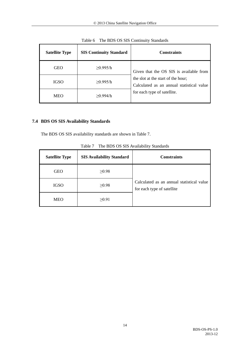<span id="page-17-1"></span>

| <b>Satellite Type</b> | <b>SIS Continuity Standard</b> | <b>Constraints</b>                                                              |
|-----------------------|--------------------------------|---------------------------------------------------------------------------------|
| <b>GEO</b>            | >0.995/h                       | Given that the OS SIS is available from                                         |
| IGSO                  | ≥0.995/h                       | the slot at the start of the hour;<br>Calculated as an annual statistical value |
| <b>MEO</b>            | >0.994/h                       | for each type of satellite.                                                     |

Table 6 The BDS OS SIS Continuity Standards

# <span id="page-17-0"></span>**7.4 BDS OS SIS Availability Standards**

<span id="page-17-2"></span>The BDS OS SIS availability standards are shown in [Table 7.](#page-17-2)

| <b>Satellite Type</b> | <b>SIS Availability Standard</b> | <b>Constraints</b>                                                      |
|-----------------------|----------------------------------|-------------------------------------------------------------------------|
| <b>GEO</b>            | $\geq 0.98$                      |                                                                         |
| IGSO                  | $\geq 0.98$                      | Calculated as an annual statistical value<br>for each type of satellite |
| <b>MEO</b>            | $\geq 0.91$                      |                                                                         |

Table 7 The BDS OS SIS Availability Standards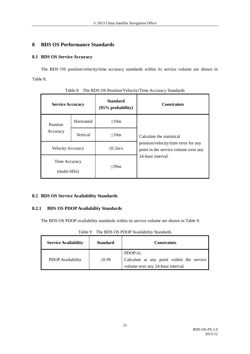# <span id="page-18-0"></span>**8 BDS OS Performance Standards**

# <span id="page-18-1"></span>**8.1 BDS OS Service Accuracy**

The BDS OS position/velocity/time accuracy standards within its service volume are shown in [Table 8.](#page-18-4)

<span id="page-18-4"></span>

| <b>Service Accuracy</b>       |            | <b>Standard</b><br>$(95\%$ probability) | <b>Constraints</b>                                                                                |
|-------------------------------|------------|-----------------------------------------|---------------------------------------------------------------------------------------------------|
| <b>Position</b><br>Accuracy   | Horizontal | < 10m                                   | Calculate the statistical                                                                         |
|                               | Vertical   | < 10m                                   |                                                                                                   |
| <b>Velocity Accuracy</b>      |            | $\leq 0.2$ m/s                          | position/velocity/time error for any<br>point in the service volume over any<br>24-hour interval. |
| Time Accuracy<br>(multi-SISs) |            | $<$ 50ns                                |                                                                                                   |

Table 8 The BDS OS Position/Velocity/Time Accuracy Standards

# <span id="page-18-2"></span>**8.2 BDS OS Service Availability Standards**

# <span id="page-18-3"></span>**8.2.1 BDS OS PDOP Availability Standards**

<span id="page-18-5"></span>The BDS OS PDOP availability standards within its service volume are shown in [Table 9.](#page-18-5)

| ruviv z<br>THE DDD OD I DOI TWAINGHI(Y DRIINAIG) |                 |                                                                                                   |  |  |
|--------------------------------------------------|-----------------|---------------------------------------------------------------------------------------------------|--|--|
| <b>Service Availability</b>                      | <b>Standard</b> | <b>Constraints</b>                                                                                |  |  |
| PDOP Availability                                | $\geq 0.98$     | PDOP $\leq 6$ ;<br>Calculate at any point within the service<br>volume over any 24-hour interval. |  |  |

Table 9 The BDS OS PDOP Availability Standards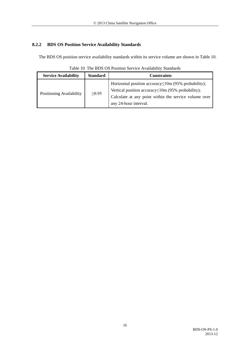# <span id="page-19-0"></span>**8.2.2 BDS OS Position Service Availability Standards**

<span id="page-19-1"></span>The BDS OS position service availability standards within its service volume are shown in [Table 10.](#page-19-1)

**Service Availability Standard Constraints** Positioning Availability  $| \geq 0.95$ Horizontal position accuracy≤10m (95% probability); Vertical position accuracy≤10m (95% probability); Calculate at any point within the service volume over any 24-hour interval.

Table 10 The BDS OS Position Service Availability Standards